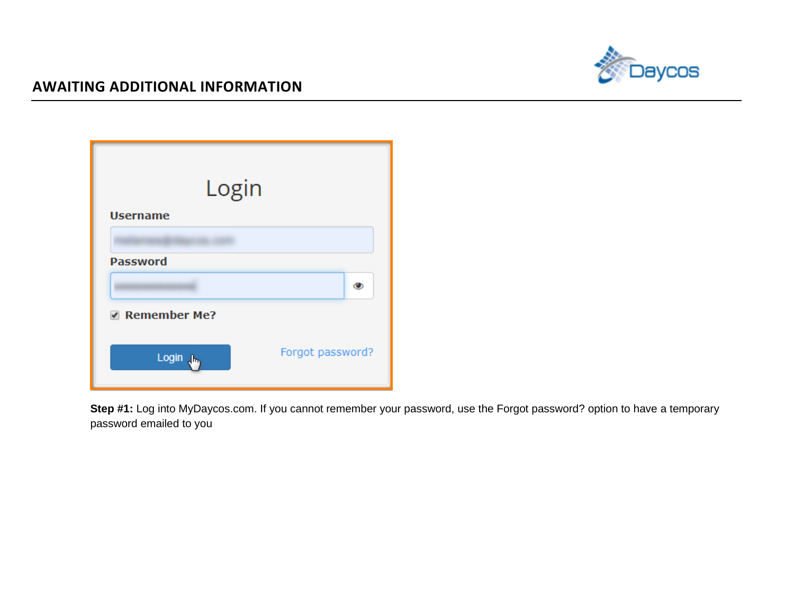

| Login                 |                  |   |
|-----------------------|------------------|---|
| <b>Username</b>       |                  |   |
|                       |                  |   |
| <b>Password</b>       |                  |   |
|                       |                  | ◉ |
| Remember Me?          |                  |   |
| Login J <sub>bs</sub> | Forgot password? |   |

**Step #1:** Log into MyDaycos.com. If you cannot remember your password, use the Forgot password? option to have a temporary password emailed to you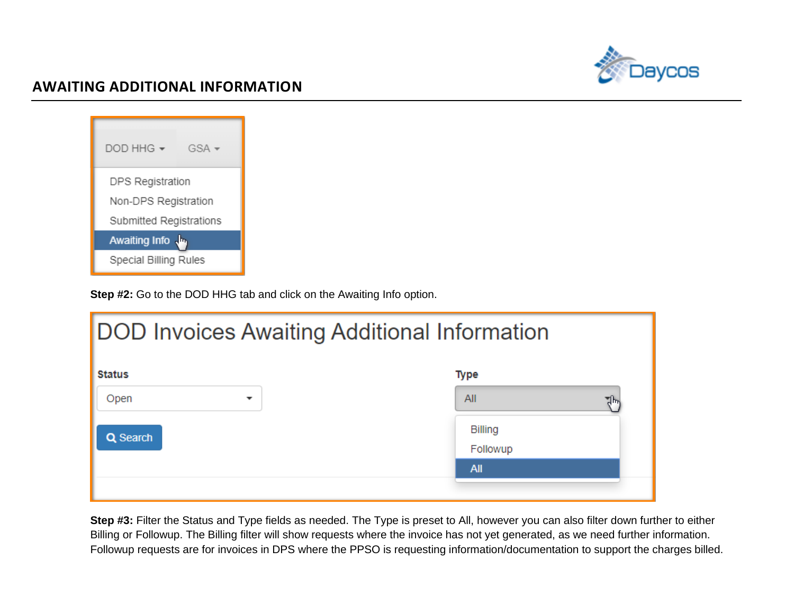

| DOD HHG -                    | $GSA -$ |  |  |
|------------------------------|---------|--|--|
| DPS Registration             |         |  |  |
| Non-DPS Registration         |         |  |  |
| Submitted Registrations      |         |  |  |
| Awaiting Info                |         |  |  |
| <b>Special Billing Rules</b> |         |  |  |

**Step #2:** Go to the DOD HHG tab and click on the Awaiting Info option.

| <b>DOD Invoices Awaiting Additional Information</b> |                            |  |  |  |  |  |
|-----------------------------------------------------|----------------------------|--|--|--|--|--|
| <b>Status</b><br><b>Type</b>                        |                            |  |  |  |  |  |
| Open<br>$\mathbf{r}$                                | All                        |  |  |  |  |  |
| Q Search                                            | <b>Billing</b><br>Followup |  |  |  |  |  |
|                                                     | <b>All</b>                 |  |  |  |  |  |
|                                                     |                            |  |  |  |  |  |

**Step #3:** Filter the Status and Type fields as needed. The Type is preset to All, however you can also filter down further to either Billing or Followup. The Billing filter will show requests where the invoice has not yet generated, as we need further information. Followup requests are for invoices in DPS where the PPSO is requesting information/documentation to support the charges billed.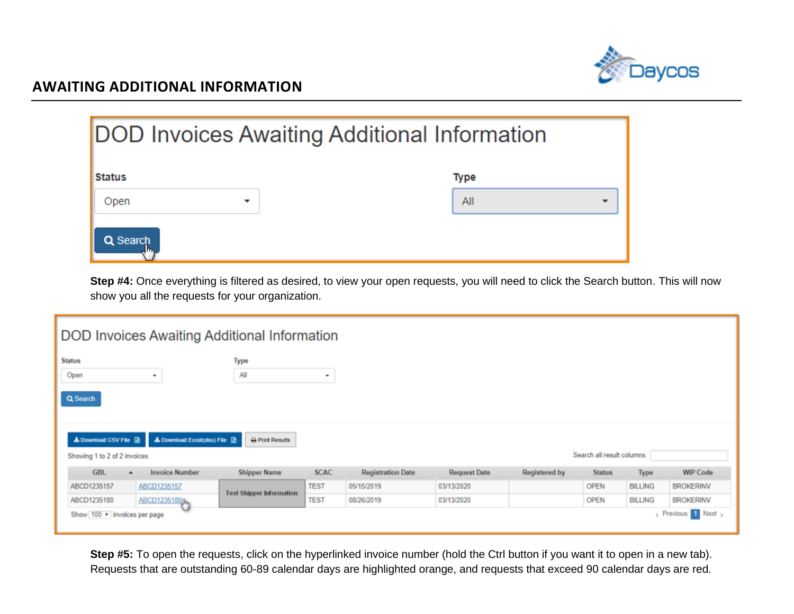

| <b>DOD Invoices Awaiting Additional Information</b> |             |
|-----------------------------------------------------|-------------|
| <b>Status</b>                                       | <b>Type</b> |
| Open<br>▼                                           | All         |
| Q Search                                            |             |

**Step #4:** Once everything is filtered as desired, to view your open requests, you will need to click the Search button. This will now show you all the requests for your organization.

| DOD Invoices Awaiting Additional Information               |                               |                                 |                     |                          |                     |                      |               |                |                  |  |
|------------------------------------------------------------|-------------------------------|---------------------------------|---------------------|--------------------------|---------------------|----------------------|---------------|----------------|------------------|--|
| <b>Status</b>                                              |                               | Type                            |                     |                          |                     |                      |               |                |                  |  |
| Open                                                       | ۰                             | All                             | $\scriptstyle\rm w$ |                          |                     |                      |               |                |                  |  |
| Q Search                                                   |                               |                                 |                     |                          |                     |                      |               |                |                  |  |
| ▲ Download CSV File ■                                      | ▲ Download Excel(xlsx) File 团 | <b>A</b> Print Results          |                     |                          |                     |                      |               |                |                  |  |
| Search all result columns:<br>Showing 1 to 2 of 2 invoices |                               |                                 |                     |                          |                     |                      |               |                |                  |  |
| <b>GBL</b><br>$\blacktriangle$                             | <b>Invoice Number</b>         | <b>Shipper Name</b>             | <b>SCAC</b>         | <b>Registration Date</b> | <b>Request Date</b> | <b>Registered by</b> | <b>Status</b> | <b>Type</b>    | <b>WIP Code</b>  |  |
| ABCD1235157                                                | ABCD1235157                   | <b>Test Shipper Information</b> | <b>TEST</b>         | 05/15/2019               | 03/13/2020          |                      | <b>OPEN</b>   | <b>BILLING</b> | <b>BROKERINV</b> |  |
| ABCD1235180                                                | ABCD1235180 <sub>0m</sub>     |                                 | <b>TEST</b>         | 08/26/2019               | 03/13/2020          |                      | <b>OPEN</b>   | <b>BILLING</b> | <b>BROKERINV</b> |  |
| Revious 1 Next<br>Show 100 v invoices per page             |                               |                                 |                     |                          |                     |                      |               |                |                  |  |

**Step #5:** To open the requests, click on the hyperlinked invoice number (hold the Ctrl button if you want it to open in a new tab). Requests that are outstanding 60-89 calendar days are highlighted orange, and requests that exceed 90 calendar days are red.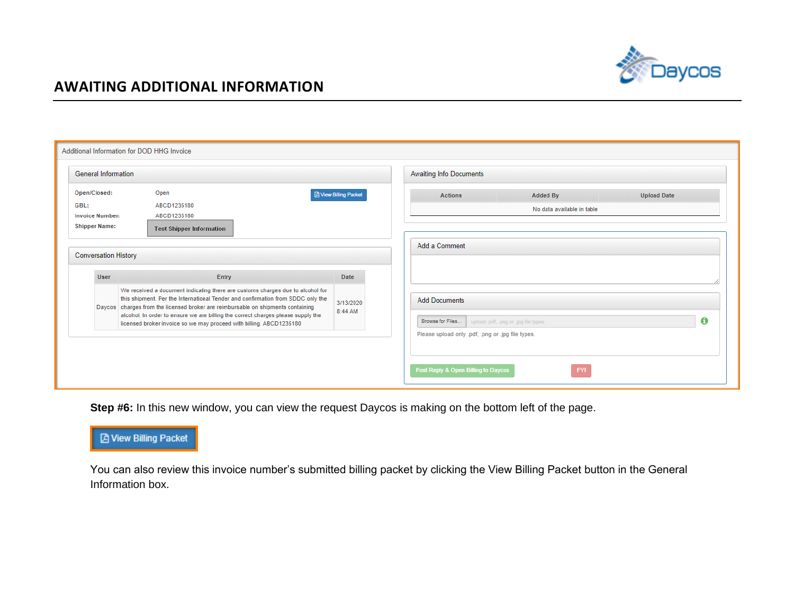

|  |                                                |                                                         |                            | Additional Information for DOD HHG Invoice                                                                                                              |                                                                                                                                                                                                                                                       |                            |  |                                                                                                                                      |                                      |            |                    |   |
|--|------------------------------------------------|---------------------------------------------------------|----------------------------|---------------------------------------------------------------------------------------------------------------------------------------------------------|-------------------------------------------------------------------------------------------------------------------------------------------------------------------------------------------------------------------------------------------------------|----------------------------|--|--------------------------------------------------------------------------------------------------------------------------------------|--------------------------------------|------------|--------------------|---|
|  | <b>General Information</b>                     |                                                         |                            | <b>Awaiting Info Documents</b>                                                                                                                          |                                                                                                                                                                                                                                                       |                            |  |                                                                                                                                      |                                      |            |                    |   |
|  | Open/Closed:<br>GBL:<br><b>Invoice Number:</b> |                                                         |                            | Open<br><b>A</b> View Billing Packet                                                                                                                    |                                                                                                                                                                                                                                                       |                            |  | <b>Actions</b>                                                                                                                       | <b>Added By</b>                      |            | <b>Upload Date</b> |   |
|  |                                                |                                                         | ABCD1235180<br>ABCD1235180 |                                                                                                                                                         |                                                                                                                                                                                                                                                       | No data available in table |  |                                                                                                                                      |                                      |            |                    |   |
|  |                                                | <b>Shipper Name:</b><br><b>Test Shipper Information</b> |                            |                                                                                                                                                         |                                                                                                                                                                                                                                                       |                            |  |                                                                                                                                      |                                      |            |                    |   |
|  | <b>Conversation History</b>                    |                                                         |                            |                                                                                                                                                         | Add a Comment                                                                                                                                                                                                                                         |                            |  |                                                                                                                                      |                                      |            |                    |   |
|  |                                                | <b>User</b>                                             |                            | Entry                                                                                                                                                   |                                                                                                                                                                                                                                                       | Date                       |  |                                                                                                                                      |                                      |            |                    |   |
|  |                                                |                                                         |                            | Daycos charges from the licensed broker are reimbursable on shipments containing<br>licensed broker invoice so we may proceed with billing. ABCD1235180 | We received a document indicating there are customs charges due to alcohol for<br>this shipment. Per the International Tender and confirmation from SDDC only the<br>alcohol. In order to ensure we are billing the correct charges please supply the | 3/13/2020<br>8:44 AM       |  | <b>Add Documents</b><br>Browse for Files<br>Please upload only .pdf, .png or .jpg file types.<br>Post Reply & Open Billing to Daycos | upload .pdf, .png or .jpg file types | <b>FYI</b> |                    | 0 |
|  |                                                |                                                         |                            |                                                                                                                                                         |                                                                                                                                                                                                                                                       |                            |  |                                                                                                                                      |                                      |            |                    |   |

**Step #6:** In this new window, you can view the request Daycos is making on the bottom left of the page.

### **A** View Billing Packet

You can also review this invoice number's submitted billing packet by clicking the View Billing Packet button in the General Information box.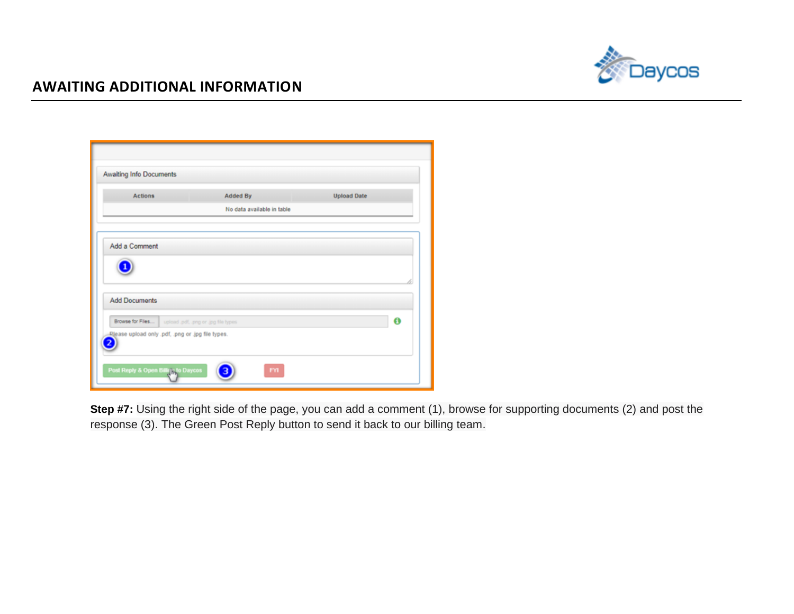

| <b>Actions</b>       | Added By                                              | <b>Upload Date</b> |
|----------------------|-------------------------------------------------------|--------------------|
|                      | No data available in table                            |                    |
|                      |                                                       |                    |
| Add a Comment        |                                                       |                    |
|                      |                                                       |                    |
|                      |                                                       |                    |
|                      |                                                       |                    |
| <b>Add Documents</b> |                                                       |                    |
|                      | Browse for Files   upload pdf, png or .jpg file types | 0                  |
|                      |                                                       |                    |

**Step #7:** Using the right side of the page, you can add a comment (1), browse for supporting documents (2) and post the response (3). The Green Post Reply button to send it back to our billing team.